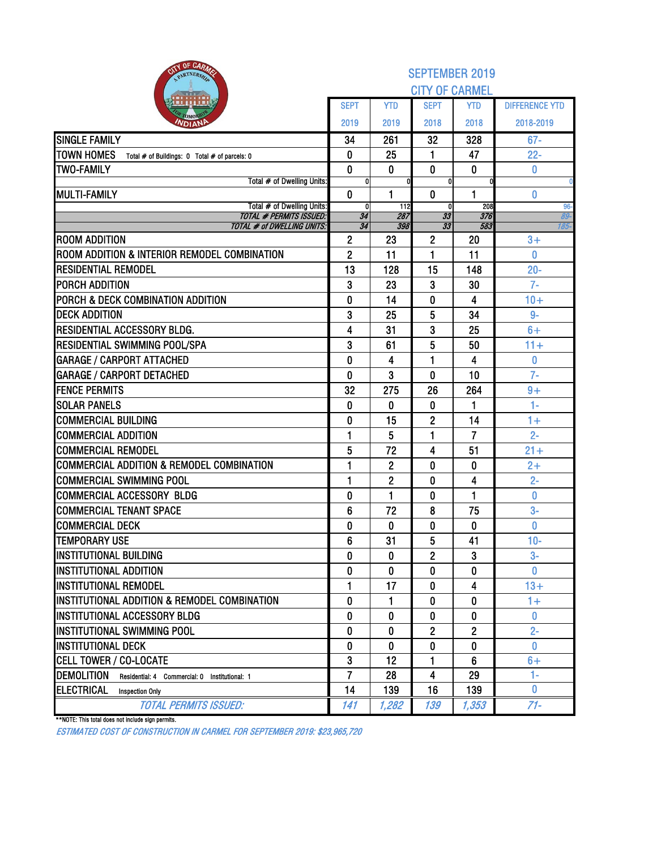| OF CARMA<br>PARTNERSH                                              |                      |                | <b>SEPTEMBER 2019</b> |            |                       |
|--------------------------------------------------------------------|----------------------|----------------|-----------------------|------------|-----------------------|
|                                                                    |                      |                | <b>CITY OF CARMEL</b> |            |                       |
|                                                                    | <b>SEPT</b>          | <b>YTD</b>     | <b>SEPT</b>           | <b>YTD</b> | <b>DIFFERENCE YTD</b> |
| Омо<br><b>NDIAN</b>                                                | 2019                 | 2019           | 2018                  | 2018       | 2018-2019             |
| <b>SINGLE FAMILY</b>                                               | 34                   | 261            | 32                    | 328        | $67 -$                |
| <b>TOWN HOMES</b><br>Total # of Buildings: 0 Total # of parcels: 0 | 0                    | 25             | 1                     | 47         | $22 -$                |
| <b>TWO-FAMILY</b>                                                  | $\mathbf 0$          | 0              | $\bf{0}$              | 0          | 0                     |
| Total # of Dwelling Units:<br><b>MULTI-FAMILY</b>                  | O<br>$\mathbf{0}$    | 1              | $\bf{0}$              | 1          |                       |
| Total # of Dwelling Units:                                         | 0                    | 112            | 0                     | 208        | 0<br>$96-$            |
| <b>TOTAL # PERMITS ISSUED:</b>                                     | 34                   | 287            | 33                    | 376        | 89-                   |
| <b>TOTAL # of DWELLING UNITS:</b><br><b>ROOM ADDITION</b>          | 34<br>$\overline{2}$ | 398<br>23      | 33<br>$\overline{2}$  | 583<br>20  | 185-<br>$3+$          |
| ROOM ADDITION & INTERIOR REMODEL COMBINATION                       | $\overline{2}$       | 11             | 1                     | 11         | 0                     |
| <b>RESIDENTIAL REMODEL</b>                                         | 13                   | 128            | 15                    | 148        | $20 -$                |
| PORCH ADDITION                                                     | 3                    | 23             | 3                     | 30         | $7-$                  |
| PORCH & DECK COMBINATION ADDITION                                  | $\mathbf{0}$         | 14             | 0                     | 4          | $10+$                 |
| <b>DECK ADDITION</b>                                               | 3                    | 25             | 5                     | 34         | $9-$                  |
| RESIDENTIAL ACCESSORY BLDG.                                        | 4                    | 31             | 3                     | 25         | $6+$                  |
| <b>RESIDENTIAL SWIMMING POOL/SPA</b>                               | 3                    | 61             | 5                     | 50         | $11 +$                |
| <b>GARAGE / CARPORT ATTACHED</b>                                   | 0                    | 4              | 1                     | 4          | 0                     |
| <b>GARAGE / CARPORT DETACHED</b>                                   | $\mathbf{0}$         | 3              | $\bf{0}$              | 10         | $7-$                  |
| <b>FENCE PERMITS</b>                                               | 32                   | 275            | 26                    | 264        | $9+$                  |
| <b>SOLAR PANELS</b>                                                | $\mathbf{0}$         | $\mathbf{0}$   | 0                     | 1          | $1 -$                 |
| <b>COMMERCIAL BUILDING</b>                                         | $\bf{0}$             | 15             | $\overline{2}$        | 14         | $1+$                  |
| <b>COMMERCIAL ADDITION</b>                                         | 1                    | 5              | 1                     | 7          | $2 -$                 |
| <b>COMMERCIAL REMODEL</b>                                          | 5                    | 72             | 4                     | 51         | $21 +$                |
| <b>COMMERCIAL ADDITION &amp; REMODEL COMBINATION</b>               | 1                    | $\overline{2}$ | 0                     | 0          | $2+$                  |
| COMMERCIAL SWIMMING POOL                                           | 1                    | $\mathbf{2}$   | 0                     | 4          | $2 -$                 |
| <b>COMMERCIAL ACCESSORY BLDG</b>                                   | 0                    | 1              | 0                     | 1          | 0                     |
| <b>COMMERCIAL TENANT SPACE</b>                                     | $6\phantom{1}6$      | 72             | 8                     | 75         | $3-$                  |
| <b>COMMERCIAL DECK</b>                                             | 0                    | 0              | 0                     | 0          | 0                     |
| <b>TEMPORARY USE</b>                                               | 6                    | 31             | 5                     | 41         | $10-$                 |
| <b>INSTITUTIONAL BUILDING</b>                                      | 0                    | 0              | $\overline{2}$        | 3          | $3-$                  |
| <b>INSTITUTIONAL ADDITION</b>                                      | 0                    | 0              | 0                     | 0          | $\bf{0}$              |
| <b>INSTITUTIONAL REMODEL</b>                                       | 1                    | 17             | 0                     | 4          | $13+$                 |
| INSTITUTIONAL ADDITION & REMODEL COMBINATION                       | 0                    | 1              | 0                     | 0          | $1+$                  |
| INSTITUTIONAL ACCESSORY BLDG                                       | 0                    | 0              | 0                     | 0          | $\mathbf{0}$          |
| <b>INSTITUTIONAL SWIMMING POOL</b>                                 | $\mathbf{0}$         | $\mathbf{0}$   | $\overline{2}$        | 2          | $2 -$                 |
| <b>INSTITUTIONAL DECK</b>                                          | 0                    | 0              | 0                     | 0          | $\bf{0}$              |
| <b>CELL TOWER / CO-LOCATE</b>                                      | 3                    | 12             | 1                     | 6          | $6+$                  |
| <b>DEMOLITION</b><br>Residential: 4 Commercial: 0 Institutional: 1 | $\overline{7}$       | 28             | 4                     | 29         | $1 -$                 |
| <b>ELECTRICAL</b><br><b>Inspection Only</b>                        | 14                   | 139            | 16                    | 139        | $\mathbf{0}$          |
| <b>TOTAL PERMITS ISSUED:</b>                                       | 141                  | 1,282          | 139                   | 1,353      | $71 -$                |

\*\*NOTE: This total does not include sign permits.

ESTIMATED COST OF CONSTRUCTION IN CARMEL FOR SEPTEMBER 2019: \$23,965,720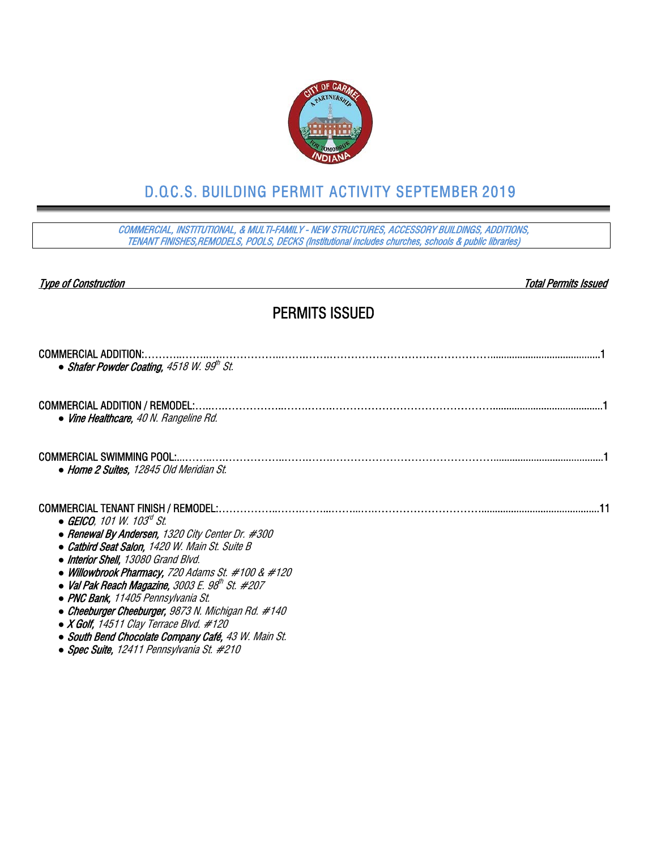

# D.O.C.S. BUILDING PERMIT ACTIVITY SEPTEMBER 2019

COMMERCIAL, INSTITUTIONAL, & MULTI-FAMILY - NEW STRUCTURES, ACCESSORY BUILDINGS, ADDITIONS, TENANT FINISHES,REMODELS, POOLS, DECKS (Institutional includes churches, schools & public libraries)

#### Type of Construction Total Permits Issued

## PERMITS ISSUED

| <b>COMMERCIAL ADDITION:</b>                                          |  |
|----------------------------------------------------------------------|--|
| • Shafer Powder Coating, $4518$ W. $99th$ St.                        |  |
| COMMERCIAL ADDITION / REMODEL:.                                      |  |
| • Vine Healthcare, 40 N. Rangeline Rd.                               |  |
| <b>COMMERCIAL SWIMMING POOL:</b>                                     |  |
| • Home 2 Suites, 12845 Old Meridian St.                              |  |
|                                                                      |  |
| • GEICO. 101 W. 103 <sup>rd</sup> St.                                |  |
| • Renewal By Andersen, 1320 City Center Dr. #300                     |  |
| • Catbird Seat Salon, 1420 W. Main St. Suite B                       |  |
| • Interior Shell, 13080 Grand Blvd.                                  |  |
| • Willowbrook Pharmacy, 720 Adams St. #100 & #120                    |  |
| • Val Pak Reach Magazine, 3003 E. $98^{\prime\prime\prime}$ St. #207 |  |
| • PNC Bank, 11405 Pennsylvania St.                                   |  |
| • Cheeburger Cheeburger, 9873 N. Michigan Rd. #140                   |  |
| • X Golf, 14511 Clay Terrace Blvd. $#120$                            |  |
| • South Bend Chocolate Company Café, 43 W. Main St.                  |  |
| • Spec Suite, 12411 Pennsylvania St. #210                            |  |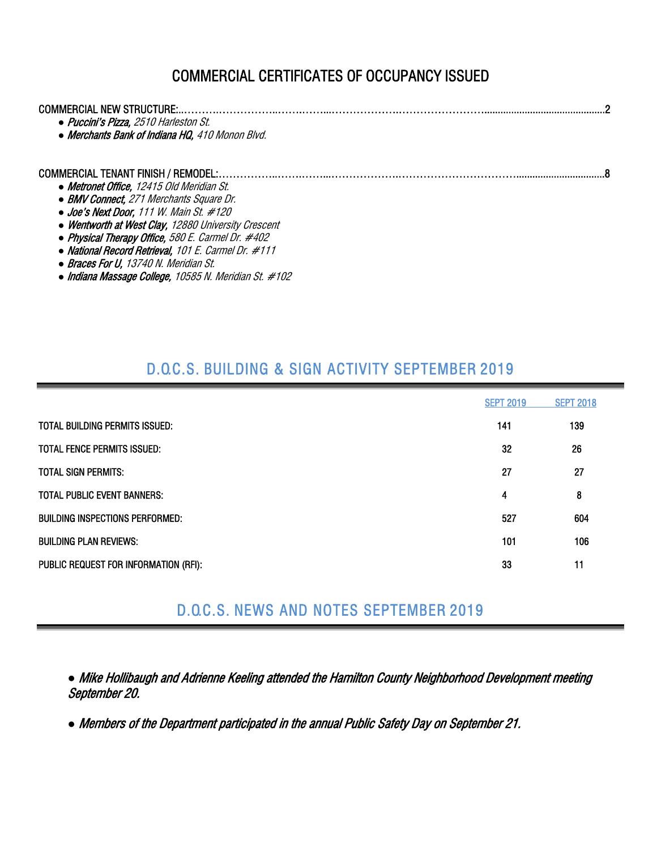# COMMERCIAL CERTIFICATES OF OCCUPANCY ISSUED

| COMMERCIAL NEW STRUCTURE:.                                                               |  |
|------------------------------------------------------------------------------------------|--|
| • Puccini's Pizza, 2510 Harleston St.<br>• Merchants Bank of Indiana HQ, 410 Monon Blvd. |  |
| COMMERCIAL TENANT FINISH / REMODEL:                                                      |  |
| • Metronet Office, 12415 Old Meridian St.                                                |  |
| • BMV Connect, 271 Merchants Square Dr.                                                  |  |
| $\bullet$ Joe's Next Door, 111 W. Main St. #120                                          |  |
| • Wentworth at West Clay, 12880 University Crescent                                      |  |
| • Physical Therapy Office, 580 E. Carmel Dr. #402                                        |  |
| • National Record Retrieval, 101 E. Carmel Dr. #111                                      |  |
| • Braces For U, 13740 N. Meridian St.                                                    |  |

*●* Indiana Massage College, 10585 N. Meridian St. #102

### D.O.C.S. BUILDING & SIGN ACTIVITY SEPTEMBER 2019

|                                       | <b>SEPT 2019</b> | <b>SEPT 2018</b> |
|---------------------------------------|------------------|------------------|
| TOTAL BUILDING PERMITS ISSUED:        | 141              | 139              |
| <b>TOTAL FENCE PERMITS ISSUED:</b>    | 32               | 26               |
| <b>TOTAL SIGN PERMITS:</b>            | 27               | 27               |
| <b>TOTAL PUBLIC EVENT BANNERS:</b>    | 4                | 8                |
| BUILDING INSPECTIONS PERFORMED:       | 527              | 604              |
| <b>BUILDING PLAN REVIEWS:</b>         | 101              | 106              |
| PUBLIC REQUEST FOR INFORMATION (RFI): | 33               | 11               |

## D.O.C.S. NEWS AND NOTES SEPTEMBER 2019

*●* Mike Hollibaugh and Adrienne Keeling attended the Hamilton County Neighborhood Development meeting September 20.

*●* Members of the Department participated in the annual Public Safety Day on September 21.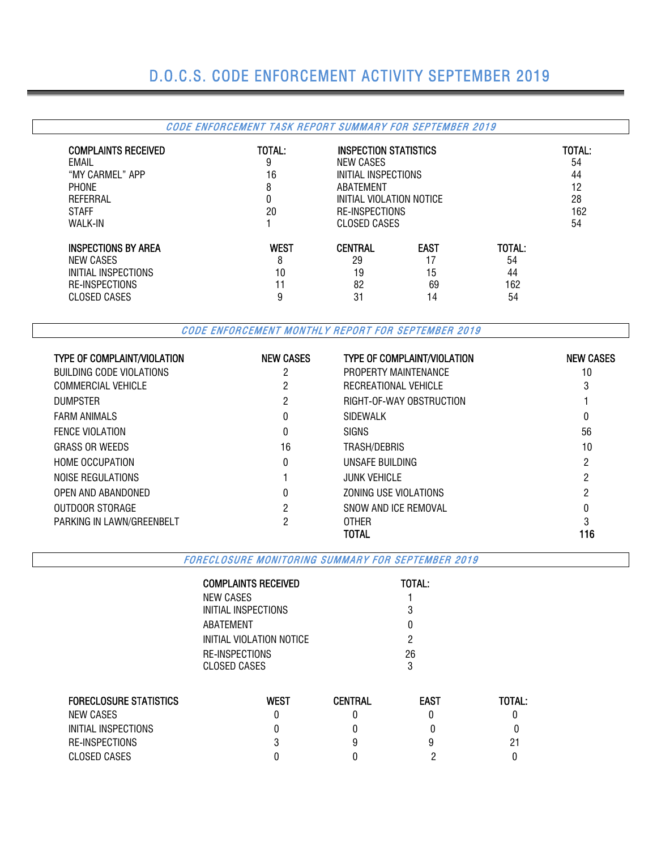# D.O.C.S. CODE ENFORCEMENT ACTIVITY SEPTEMBER 2019

|                                                                                                    | CODE ENFORCEMENT TASK REPORT SUMMARY FOR SEPTEMBER 2019 |                                                                                                                                    |                         |                    |                                       |
|----------------------------------------------------------------------------------------------------|---------------------------------------------------------|------------------------------------------------------------------------------------------------------------------------------------|-------------------------|--------------------|---------------------------------------|
| <b>COMPLAINTS RECEIVED</b><br>EMAIL<br>"MY CARMEL" APP<br><b>PHONE</b><br>REFERRAL<br><b>STAFF</b> | TOTAL:<br>9<br>16<br>8<br>0<br>20                       | <b>INSPECTION STATISTICS</b><br>NEW CASES<br>INITIAL INSPECTIONS<br>ABATEMENT<br>INITIAL VIOLATION NOTICE<br><b>RE-INSPECTIONS</b> |                         |                    | TOTAL:<br>54<br>44<br>12<br>28<br>162 |
| <b>WALK-IN</b>                                                                                     |                                                         | <b>CLOSED CASES</b>                                                                                                                |                         |                    | 54                                    |
| <b>INSPECTIONS BY AREA</b><br>NEW CASES<br>INITIAL INSPECTIONS                                     | <b>WEST</b><br>8<br>10                                  | <b>CENTRAL</b><br>29<br>19                                                                                                         | <b>EAST</b><br>17<br>15 | TOTAL:<br>54<br>44 |                                       |
| <b>RE-INSPECTIONS</b><br><b>CLOSED CASES</b>                                                       | 11<br>9                                                 | 82<br>31                                                                                                                           | 69<br>14                | 162<br>54          |                                       |

CODE ENFORCEMENT MONTHLY REPORT FOR SEPTEMBER 2019

| <b>TYPE OF COMPLAINT/VIOLATION</b> | <b>NEW CASES</b> | <b>TYPE OF COMPLAINT/VIOLATION</b> | <b>NEW CASES</b> |
|------------------------------------|------------------|------------------------------------|------------------|
| BUILDING CODE VIOLATIONS           | 2                | PROPERTY MAINTENANCE               | 10               |
| COMMERCIAL VEHICLE                 |                  | RECREATIONAL VEHICLE               | 3                |
| <b>DUMPSTER</b>                    | 2                | RIGHT-OF-WAY OBSTRUCTION           |                  |
| <b>FARM ANIMALS</b>                | 0                | SIDEWALK                           | 0                |
| <b>FENCE VIOLATION</b>             | 0                | <b>SIGNS</b>                       | 56               |
| <b>GRASS OR WEEDS</b>              | 16               | TRASH/DEBRIS                       | 10               |
| <b>HOME OCCUPATION</b>             | 0                | UNSAFE BUILDING                    | 2                |
| NOISE REGULATIONS                  |                  | <b>JUNK VEHICLE</b>                | 2                |
| OPEN AND ABANDONED                 | 0                | ZONING USE VIOLATIONS              | ი                |
| OUTDOOR STORAGE                    | 2                | SNOW AND ICE REMOVAL               |                  |
| PARKING IN LAWN/GREENBELT          | 2                | <b>OTHER</b>                       |                  |
|                                    |                  | TOTAL                              | 116              |

FORECLOSURE MONITORING SUMMARY FOR SEPTEMBER 2019

|                               | <b>COMPLAINTS RECEIVED</b> |                | TOTAL:      |               |  |  |  |  |  |
|-------------------------------|----------------------------|----------------|-------------|---------------|--|--|--|--|--|
|                               | NEW CASES                  |                |             |               |  |  |  |  |  |
|                               | INITIAL INSPECTIONS        |                |             |               |  |  |  |  |  |
|                               | ABATEMENT                  |                |             |               |  |  |  |  |  |
|                               | INITIAL VIOLATION NOTICE   |                |             |               |  |  |  |  |  |
|                               | RE-INSPECTIONS             |                | 26          |               |  |  |  |  |  |
|                               | <b>CLOSED CASES</b>        |                | 3           |               |  |  |  |  |  |
|                               |                            |                |             |               |  |  |  |  |  |
| <b>FORECLOSURE STATISTICS</b> | <b>WEST</b>                | <b>CENTRAL</b> | <b>EAST</b> | <b>TOTAL:</b> |  |  |  |  |  |
| <b>NEW CASES</b>              | 0                          |                |             |               |  |  |  |  |  |
| INITIAL INSPECTIONS           | 0                          |                |             |               |  |  |  |  |  |
| RE-INSPECTIONS                |                            |                |             | 21            |  |  |  |  |  |
| <b>CLOSED CASES</b>           |                            |                |             |               |  |  |  |  |  |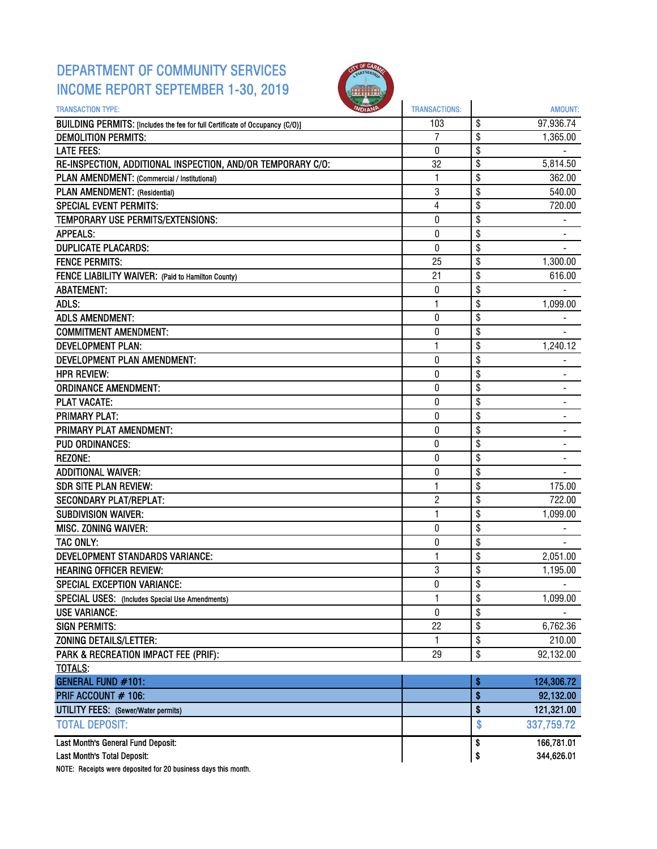## DEPARTMENT OF COMMUNITY SERVICES INCOME REPORT SEPTEMBER 1-30, 2019



| <b>OMOP</b><br><b>TRANSACTION TYPE:</b><br><b>NDIANP</b>                     | <b>TRANSACTIONS:</b> | <b>AMOUNT:</b>       |
|------------------------------------------------------------------------------|----------------------|----------------------|
| BUILDING PERMITS: [Includes the fee for full Certificate of Occupancy (C/O)] | 103                  | \$<br>97,936.74      |
| <b>DEMOLITION PERMITS:</b>                                                   | 7                    | \$<br>1,365.00       |
| <b>LATE FEES:</b>                                                            | 0                    | \$                   |
| RE-INSPECTION, ADDITIONAL INSPECTION, AND/OR TEMPORARY C/O:                  | 32                   | \$<br>5,814.50       |
| PLAN AMENDMENT: (Commercial / Institutional)                                 | 1                    | \$<br>362.00         |
| PLAN AMENDMENT: (Residential)                                                | 3                    | \$<br>540.00         |
| <b>SPECIAL EVENT PERMITS:</b>                                                | 4                    | \$<br>720.00         |
| TEMPORARY USE PERMITS/EXTENSIONS:                                            | 0                    | \$                   |
| <b>APPEALS:</b>                                                              | 0                    | \$                   |
| <b>DUPLICATE PLACARDS:</b>                                                   | $\overline{0}$       | \$                   |
| <b>FENCE PERMITS:</b>                                                        | 25                   | \$<br>1,300.00       |
| FENCE LIABILITY WAIVER: (Paid to Hamilton County)                            | 21                   | \$<br>616.00         |
| <b>ABATEMENT:</b>                                                            | 0                    | \$                   |
| ADLS:                                                                        | $\mathbf{1}$         | \$<br>1,099.00       |
| <b>ADLS AMENDMENT:</b>                                                       | 0                    | \$                   |
| <b>COMMITMENT AMENDMENT:</b>                                                 | 0                    | \$                   |
| <b>DEVELOPMENT PLAN:</b>                                                     | $\mathbf{1}$         | \$<br>1,240.12       |
| DEVELOPMENT PLAN AMENDMENT:                                                  | 0                    | \$                   |
| <b>HPR REVIEW:</b>                                                           | 0                    | \$                   |
| <b>ORDINANCE AMENDMENT:</b>                                                  | 0                    | \$                   |
| <b>PLAT VACATE:</b>                                                          | 0                    | \$                   |
| <b>PRIMARY PLAT:</b>                                                         | 0                    | \$                   |
| PRIMARY PLAT AMENDMENT:                                                      | 0                    | \$                   |
| <b>PUD ORDINANCES:</b>                                                       | 0                    | \$<br>$\blacksquare$ |
| <b>REZONE:</b>                                                               | 0                    | \$                   |
| <b>ADDITIONAL WAIVER:</b>                                                    | 0                    | \$                   |
| <b>SDR SITE PLAN REVIEW:</b>                                                 | 1                    | \$<br>175.00         |
| <b>SECONDARY PLAT/REPLAT:</b>                                                | $\overline{2}$       | \$<br>722.00         |
| <b>SUBDIVISION WAIVER:</b>                                                   | $\mathbf{1}$         | \$<br>1,099.00       |
| <b>MISC. ZONING WAIVER:</b>                                                  | 0                    | \$                   |
| <b>TAC ONLY:</b>                                                             | 0                    | \$                   |
| DEVELOPMENT STANDARDS VARIANCE:                                              | 1                    | \$<br>2,051.00       |
| <b>HEARING OFFICER REVIEW:</b>                                               | 3                    | \$<br>1,195.00       |
| <b>SPECIAL EXCEPTION VARIANCE:</b>                                           | $\pmb{0}$            | \$                   |
| <b>SPECIAL USES:</b> (Includes Special Use Amendments)                       | 1                    | \$<br>1,099.00       |
| <b>USE VARIANCE:</b>                                                         | 0                    | \$                   |
| <b>SIGN PERMITS:</b>                                                         | 22                   | \$<br>6,762.36       |
| <b>ZONING DETAILS/LETTER:</b>                                                | 1                    | \$<br>210.00         |
| PARK & RECREATION IMPACT FEE (PRIF):                                         | 29                   | \$<br>92,132.00      |
| TOTALS:                                                                      |                      |                      |
| <b>GENERAL FUND #101:</b>                                                    |                      | \$<br>124,306.72     |
| PRIF ACCOUNT # 106:                                                          |                      | \$<br>92,132.00      |
| <b>UTILITY FEES:</b> (Sewer/Water permits)                                   |                      | \$<br>121,321.00     |
| <b>TOTAL DEPOSIT:</b>                                                        |                      | \$<br>337,759.72     |
| Last Month's General Fund Deposit:                                           |                      | \$<br>166,781.01     |
| Last Month's Total Deposit:                                                  |                      | \$<br>344,626.01     |

NOTE: Receipts were deposited for 20 business days this month.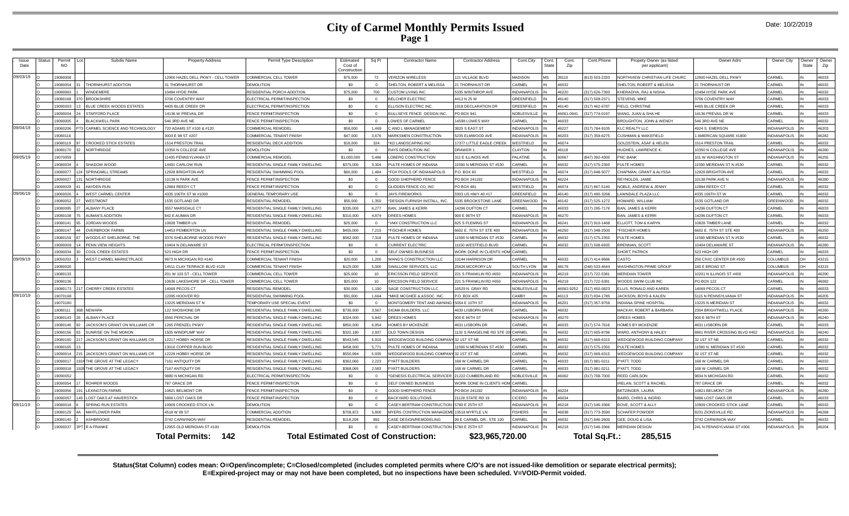### **City of Carmel Monthly Permits Issued Page 1**

| Issue<br>Date | Status | Permit<br>NO. |     | Subdiv Name                    | <b>Property Address</b>            | Permit Type Description             | Estimated<br>Cost of<br>Constructio | Sq Ft           | <b>Contractor Name</b>                       | <b>Contractor Address</b>         | Cont.City           | Cont.<br><b>State</b> | Cont.<br>Zip | Cont.Phone       | Propety Owner (as listed<br>per applicant) | Owner Adrs                    | Owner City          | Owner<br>State | Owner<br>Zip |
|---------------|--------|---------------|-----|--------------------------------|------------------------------------|-------------------------------------|-------------------------------------|-----------------|----------------------------------------------|-----------------------------------|---------------------|-----------------------|--------------|------------------|--------------------------------------------|-------------------------------|---------------------|----------------|--------------|
| 09/03/19      |        | 9080008       |     |                                | 12900 HAZEL DELL PKWY - CELL TOWER | COMMERCIAL CELL TOWER               | \$75,000                            | 72              | <b>/ERIZON WIRELESS</b>                      | 121 VILLAGE BLVD                  | <b>MADISON</b>      | <b>MS</b>             | 39110        | 813) 503-2333    | NORTHVIEW CHRISTIAN LIFE CHURC             | 12900 HAZEL DELL PKWY         | CARMEL              |                | 46033        |
|               |        | 9080054       |     | <b>THORNHURST ADDITION</b>     | 31 THORNHURST DR                   | DEMOLITION                          | \$0                                 |                 | SHELTON, ROBERT & MELISSA                    | 21 THORNHUST DR                   | CARMEL              |                       | 46032        |                  | SHELTON, ROBERT & MELISSA                  | 21 THORNHUST DF               | CARMEL              |                | 46032        |
|               |        | 19080063      |     | WINDEMERE                      | 10494 HYDE PARK                    | RESIDENTIAL PORCH ADDITION          | \$75,000                            | 700             | CUSTOM LIVING INC                            | 5335 WINTHROP AVE                 | <b>INDIANAPOLIS</b> |                       | 46220        | (317) 626-7393   | KHERADIYA, RAJ & NISHA                     | 10494 HYDE PARK AVE           | CARMEL              |                | 46032        |
|               |        | 9080168       |     | <b>BROOKSHIRE</b>              | 3706 COVENTRY WAY                  | <b>ELECTRICAL PERMIT/INSPECTION</b> | \$0                                 | $\Omega$        | <b>BELCHER ELECTRIC</b>                      | 412 N 25 W                        | <b>GREENFIELD</b>   |                       | 46140        | (317) 508-2371   | <b>STEVENS, MIKE</b>                       | 3706 COVENTRY WAY             | CARMEL              |                | 46033        |
|               |        | 9090003       |     | BLUE CREEK WOODS ESTATES       | 4405 BLUE CREEK DR                 | LECTRICAL PERMIT/INSPECTION         | \$0                                 | $\Omega$        | <b>ELLISON ELECTRIC INC.</b>                 | 918 DECLARATION DR                | GREENFIELD          |                       | 46140        | $(317)$ 462-6787 | FIELD, CHRISTINE                           | <b>4405 BLUE CREEK DR</b>     | CARMEL              |                | 46033        |
|               |        | 9090004       |     | <b>STAFFORD PLACE</b>          | 14136 W PREVAIL DR                 | FENCE PERMIT/INSPECTION             | \$0                                 | $\Omega$        | ULLSEYE FENCE DESIGN INC                     | O BOX 941                         | NOBLESVILLE         |                       | 46061-094    | (317) 774-0197   | WANG, JUAN & SHA HE                        | 14136 PREVAIL DR W            | CARMEL              |                | 46033        |
|               |        | 9090005       |     | <b>BI ACKWELL PARK</b>         | 546 3RD AVE NE                     | FENCE PERMIT/INSPECTION             | \$0                                 | $\Omega$        | OWES OF CARMEL                               | 4598 LOWES WAY                    | CARMEL              |                       | 46033        |                  | BROUGHTON, JOHN & WENDY                    | 546 3RD AVE NE                | CARMEL              |                | 46032        |
| 09/04/19      |        | 19060206      |     | CARMEL SCIENCE AND TECHNOLOGY  | 720 ADAMS ST #100 & #120           | COMMERCIAL REMODEL                  | \$58,000                            | 1.469           | AND L MANAGEMENT                             | 3825 S EAST ST                    | <b>INDIANAPOLIS</b> |                       | 46227        | (317) 784-9105   | <b>KLC REALTY LLC</b>                      | 4924 S. EMERSON               | <b>INDIANAPOLIS</b> |                | 46203        |
|               |        | 9080116       |     |                                | 3003 E 98 ST #207                  | COMMERCIAL TENANT FINISH            | \$47,000                            | 3,676           | <b>MARKSMEN CONSTRUCTION</b>                 | 3235 ELMWOOD AVE                  | <b>INDIANAPOLIS</b> |                       | 46203        | (317) 359-6275   | CUSHMAN & WAKEFIELD                        | AMERICAN SQUARE #1800         | <b>INDIANAPOLIS</b> |                | 46282        |
|               |        | 9080119       |     | <b>CROOKED STICK ESTATES</b>   | 1514 PRESTON TRAIL                 | RESIDENTIAL DECK ADDITION           | \$18,000                            | 324             | <b>KD LANDSCAPING INC</b>                    | 7377 LITTLE EAGLE CREEK           | WESTFIELD           |                       | 46074        |                  | GOLDSTEIN, ASAF & HELEN                    | 514 PRESTON TRAIL             | ARMEL               |                | 46032        |
|               |        | 9080170       |     | <b>NORTHRIDGE</b>              | 10350 N COLLEGE AVE                | DEMOLITION                          | \$0                                 | $\Omega$        | RAYS DEMOLITION INC                          | DRAWER <sup>-</sup>               | CLAYTON             |                       | 46118        |                  | HUGHES, LAWRENCE K                         | 10350 N COLLEGE AVE           | <b>INDIANAPOLIS</b> |                | 46280        |
| 09/05/19      |        | 19070059      |     |                                | 11405 PENNSYLVANIA ST              | COMMERCIAL REMODEL                  | \$1,000,000                         | 5.486           | OBERG CONSTRUCTION                           | 311 E ILLINOIS AVE                | PAI ATINE           |                       | 60067        | (847) 392-4300   | <b>PNC BANK</b>                            | 101 W WASHINGTON ST           | <b>INDIANAPOLIS</b> |                | 46255        |
|               |        | 19080034      |     | SHADOW WOOD                    | 14491 CARLOW RUN                   | RESIDENTIAL SINGLE FAMILY DWELLING  | \$375,000                           | 3.304           | PULTE HOMES OF INDIANA                       | 1590 N MERIDIAN ST #530           | CARMEL              |                       | 46032        | (317) 575-2350   | PULTE HOMES                                | 1590 MERIDIAN ST N #530       | CARMEL              |                | 46032        |
|               |        | 9080077       |     | SPRINGMILL STREAMS             | 12928 BRIGHTON AVE                 | RESIDENTIAL SWIMMING POOI           | \$60,000                            | 1,484           | FOX POOLS OF INDIANAPOLIS                    | .O. BOX 60                        | WESTFIELD           |                       | 46074        | (317) 848-5077   | CHAPMAN, GRANT & ALYSSA                    | 12928 BRIGHTON AVE            | CARMEL              |                | 46032        |
|               |        | 9090027       |     | <b>NORTHRIDGE</b>              | 10138 N PARK AVE                   | FENCE PERMIT/INSPECTION             | \$0                                 | $\Omega$        | <b>GOOD SHEPHERD FENCE</b>                   | PO BOX 241192                     | <b>INDIANAPOLIS</b> |                       | 46224        |                  | REYNOLDS, JAMIE                            | 10138 PARK AVE N              | <b>INDIANAPOLIS</b> |                | 46280        |
|               |        | 9090028       |     | <b>HAYDEN RUN</b>              | 12884 REEDY CT                     | FENCE PERMIT/INSPECTION             | \$0                                 | $\Omega$        | <b>GLIDDEN FENCE CO. INC</b>                 | <b>PO BOX 481</b>                 | WESTFIELD           |                       | 46074        | (317) 867-5140   | NOBLE, ANDREW & JENNY                      | 12884 REEDY CT                | CARMEL              |                | 46032        |
| 09/06/19      |        | 9060026       |     | WEST CARMEL CENTER             | 4335 106TH ST W #1000              | <b>GENERAL TEMPORARY USE</b>        | \$0                                 |                 | <b>AYS FIREWORKS</b>                         | 3303 US HWY 40 #17                | <b>GREENFIELD</b>   |                       | 46140        | (317) 490-3268   | LAWNDALE PLAZA LLC                         | 4335 106TH ST W               | CARMEL              |                | 46032        |
|               |        | 9080052       |     | <b>WESTMONT</b>                | 1535 GOTLAND DR                    | <b>RESIDENTIAL REMODEL</b>          | \$50,000                            | 1.350           | DESIGN FURNISH INSTALL, INC                  | 335 BROOKSTONE LANE               | <b>GREENWOOD</b>    |                       | 46142        | (317) 525-1272   | HOWARD, WILLIAM                            | 1535 GOTLAND DR               | <b>GREENWOOD</b>    |                | 46032        |
|               |        | 9080095       |     | <b>ALBANY PLACE</b>            | 3557 MARSDALE CT                   | RESIDENTIAL SINGLE FAMILY DWELLING  | \$335,000                           | 6,277           | <b>BAN, JAMES &amp; KERRI</b>                | 4296 DUFTON CT                    | CARMEL              |                       | 46033        | (317) 295-7176   | <b>BAN, JAMES &amp; KERRI</b>              | 14296 DUFTON CT               | CARMEL              |                | 46033        |
|               |        | 9080108       |     | <b>NUMAN'S ADDITION</b>        | 842 E AUMAN DR                     | RESIDENTIAL SINGLE FAMILY DWELLING  | \$310,000                           | 4.874           | DREES HOMES                                  | 00 E 96TH ST                      | <b>INDIANAPOLIS</b> |                       | 46270        |                  | <b>BAN, JAMES &amp; KERRI</b>              | 4296 DUFTON CT                | <b>CARMEL</b>       |                | 46033        |
|               |        | 9080141       |     | JORDAN WOODS                   | 10828 TIMBER LN                    | RESIDENTIAL REMODEI                 | \$25,000                            |                 | VMX CONSTRUCTION LLC                         | 325 S FLEMING ST                  | <b>INDIANAPOLIS</b> |                       | 46241        | (317) 910-1468   | ELLIOTT. TOM & KARYN                       | 0828 TIMBER LANE              | <b>CARMEL</b>       |                | 46032        |
|               |        | 9080147       |     | <b>OVERBROOK FARMS</b>         | 14453 PEMBERTON LN                 | RESIDENTIAL SINGLE FAMILY DWELLING  | \$455,000                           | 7,215           | <b>FISCHER HOMES</b>                         | 602 E. 75TH ST STE 400            | <b>INDIANAPOLIS</b> |                       | 46250        | (317) 348-2500   | *FISCHER HOMES                             | 602 E. 75TH ST STE 400        | <b>INDIANAPOLIS</b> |                | 46250        |
|               |        | 9080159       |     | WOODS AT SHELBORNE. THE        | 3376 SHELBORNE WOODS PKWY          | RESIDENTIAL SINGLE FAMILY DWELLING  | \$582,000                           | 7318            | PULTE HOMES OF INDIANA                       | 1590 N MERIDIAN ST #530           | CARMEL              |                       | 46032        | (317) 575-2350   | PULTE HOMES                                | 1590 MERIDIAN ST N #530       | CARMEL              |                | 46032        |
|               |        | 9090008       |     | PENN VIEW HEIGHTS              | 10404 N DELAWARE ST                | <b>ELECTRICAL PERMIT/INSPECTION</b> | \$0                                 | $\Omega$        | URRENT ELECTRIC                              | 1150 WESTFIELD BLVD               | CARMEL              |                       | 46032        | (317) 508-6935   | <b>BRENNAN, SCOTT</b>                      | 10404 DELAWARE ST             | <b>NDIANAPOLIS</b>  |                | 46280        |
|               |        | 9090034       |     | COOL CREEK ESTATES             | 523 HIGH DR                        | FENCE PERMIT/INSPECTION             | \$0                                 | $\Omega$        | SELF OWNED BUSINESS                          | VORK DONE IN CLIENTS HOM CARMEL   |                     |                       |              |                  | SHORT, PATRICK                             | 523 HIGH DR                   | CARMEL              |                | 46033        |
| 09/09/19      |        | 9050202       |     | <b>VEST CARMEL MARKETPLACE</b> | 9873 N MICHIGAN RD #140            | COMMERCIAL TENANT FINISH            | \$20,000                            | 1.200           | VANG'S CONSTRUCTION LLC                      | 3144 HARRISON DR                  | CARMEL              |                       | 46033        | (317) 414-9686   | CASTO                                      | 250 CIVIC CENTER DR #500      | COLUMBUS            |                | 43215        |
|               |        | 9080026       |     |                                | 14511 CLAY TERRACE BLVD #120       | COMMERCIAL TENANT FINISH            | \$125,000                           | 5,000           | WALLOW SERVICES, LLC                         | 25626 MCCRORY LN                  | SOUTH LYON          |                       | 48178        | (248) 533-4644   | <b>WASHINGTON PRIME GROUP</b>              | 180 E BROAD ST                | COLUMBUS            |                | 43215        |
|               |        | 19080133      |     |                                | 201 W 103 ST - CELL TOWER          | COMMERCIAL CELL TOWER               | \$25,000                            | 10 <sup>1</sup> | RICSSON FIELD SERVICE                        | 221 S FRANKLIN RD #650            | <b>INDIANAPOLIS</b> |                       | 46219        | (217) 722-5381   | <b>MERIDIAN TOWER</b>                      | 10201 N ILLINOIS ST #400      | <b>INDIANAPOLIS</b> |                | 46290        |
|               |        | 19080136      |     |                                | 10636 LAKESHORE DR - CELL TOWER    | COMMERCIAL CELL TOWER               | \$25,000                            | 10 <sup>1</sup> | RICSSON FIELD SERVICE                        | 221 S FRANKLIN RD #650            | <b>INDIANAPOLIS</b> |                       | 46219        | (217) 722-5381   | WOODS SWIM CLUB INC                        | PO BOX 122                    | CARMEL              |                | 46082        |
|               |        | 9080173       |     | 217 CHERRY CREEK ESTATES       | 14069 PECOS CT                     | RESIDENTIAL REMODEL                 | \$30,000                            | 1,190           | SAGE CONSTRUCTION LLC                        | 6529 N. GRAY RD                   | NOBLESVILLE         |                       | 46062-9252   | (317) 450-0823   | ELLIS, RONALD AND KAREN                    | 4069 PECOS CT                 | CARMEL              |                | 46033        |
| 09/10/19      |        | 9070168       |     |                                | 12095 HOOVER RD                    | RESIDENTIAL SWIMMING POOL           | \$91,000                            | 1.664           | MIKE MCGHEE & ASSOC. INC                     | .O. BOX 425                       | CAMBY               |                       | 46113        | (317) 834-1785   | <b>JACKSON, BOYD &amp; KALEN</b>           | <b>5115 N PENNSYLVANIA ST</b> | <b>INDIANAPOLIS</b> |                | 46205        |
|               |        | 9070180       |     |                                | 13225 MERIDIAN ST N                | TEMPORARY USE SPECIAL EVENT         | \$0                                 |                 | MONTGOMERY TENT AND AWNING                   | 6054 E 10TH ST                    | <b>INDIANAPOLIS</b> |                       | 46201        | (317) 357-9759   | INDIANA SPINE HOSPITAL                     | 13225 N MERIDIAN ST           | <b>INDIANAPOLIS</b> |                | 46032        |
|               |        | 1908011       |     | <b>NFWARK</b>                  | 122 SHOSHONE DR                    | RESIDENTIAL SINGLE FAMILY DWELLING  | \$730,000                           | 3.567           | SIGMA BUILDERS. LLC                          | <b>4630 LISBORN DRIVE</b>         | CARMEL              |                       | 46032        |                  | MACKAY ROBERT & BARBARA                    | 2304 BRIGHTWELL PLACE         | <b>INDIANAPOLIS</b> |                | 46260        |
|               |        | 9080143       |     | <b>ALBANY PLACE</b>            | 3560 PERCIVAL DR                   | RESIDENTIAL SINGLE FAMILY DWELLING  | \$324,000                           | 5.842           | <b>OREES HOMES</b>                           | 00 E 96TH ST                      | <b>INDIANAPOLIS</b> |                       | 46270        |                  | DREES HOMES                                | 900 E 96TH ST                 | <b>NDIANAPOLIS</b>  |                | 46240        |
|               |        | 9080146       |     | JACKSON'S GRANT ON WILLIAMS CR | 1265 FRENZEL PKWY                  | RESIDENTIAL SINGLE FAMILY DWELLING  | \$850,000                           | 6,954           | HOMES BY MCKENZIE                            | 631 LISBORN DR                    | CARMEL              |                       | 46033        | (317) 574-7616   | HOMES BY MCKENZIE                          | 4631 LISBORN DR               | CARMEL              |                | 46033        |
|               |        | 9080156       |     | SUNRISE ON THE MONON           | 1505 WINDPUMP WAY                  | RESIDENTIAL SINGLE FAMILY DWELLING  | \$322,180                           | 2.937           | <b>OLD TOWN DESIGN</b>                       | 132 S RANGELINE RD STE 200 CARMEL |                     |                       | 46032        | (317) 605-8796   | WARD, ANTHONY & HALEY                      | 8901 RIVER CROSSING BLVD #452 | <b>INDIANAPOLIS</b> |                | 46240        |
|               |        | 9080160       |     | JACKSON'S GRANT ON WILLIAMS CR | 12217 HOBBY HORSE DF               | RESIDENTIAL SINGLE FAMILY DWELLING  | \$543,545                           | 5,910           | VEDGEWOOD BUILDING COMPAN                    | 32 1ST ST NE                      | CARMEL              |                       | 46032        | (317) 669-6315   | VEDGEWOOD BUILDING COMPANY                 | 32 1ST ST NE                  | <b>ARMEL</b>        |                | 46032        |
|               |        | 19080165      |     |                                | 13010 COPPER RUN BLVD              | RESIDENTIAL SINGLE FAMILY DWELLING  | \$458,000                           | 5771            | PULTE HOMES OF INDIANA                       | 1590 N MERIDIAN ST #530           | CARMEL              | IN                    | 46032        | (317) 575-2350   | PULTE HOMES                                | 1590 N. MERIDIAN ST #530      | CARMEL              |                | 46032        |
|               |        | 9090014       |     | JACKSON'S GRANT ON WILLIAMS CR | 12229 HOBBY HORSE DR               | RESIDENTIAL SINGLE FAMILY DWELLING  | \$550.994                           | 5.935           | VEDGEWOOD BUILDING COMPANY 32 1ST ST NE      |                                   | CARMEL              |                       | 46032        | (317) 669-6315   | WEDGEWOOD BUILDING COMPANY                 | 32 1ST ST NE                  | CARMEL              |                | 46032        |
|               |        | 9090017       |     | 1924 THE GROVE AT THE LEGACY   | 7161 ANTIQUITY DR                  | RESIDENTIAL SINGLE FAMILY DWELLING  | \$362,060                           | 2,223           | YATT BUILDERS                                | 68 W CARMEL DR                    | CARMEL              |                       | 46033        | (317) 981-0211   | PYATT, TODD                                | 68 W CARMEL DR                | CARMEL              |                | 46032        |
|               |        | 9090018       |     | 28 THE GROVE AT THE LEGACY     | 7167 ANTIQUITY DR                  | RESIDENTIAL SINGLE FAMILY DWELLING  | \$368,065                           | 2.583           | PYATT BUILDERS                               | 68 W CARMEL DR                    | CARMEL              |                       | 46033        | (317) 981-0211   | PYATT. TODD                                | 68 W CARMEL DR                | CARMEL              |                | 46032        |
|               |        | 9090052       |     |                                | 9880 N MICHIGAN RD                 | ELECTRICAL PERMIT/INSPECTION        | \$0                                 |                 | GENESIS ELECTRICAL SERVICER                  | 21222 CUMBERLAND RD               | NOBLESVILLE         |                       | 46062        | (317) 708-7000   | <b>REED CARLSON</b>                        | 9834 N MICHIGAN RD            | CARMEL              |                | 46032        |
|               |        | 9090054       |     | ROHRER WOODS                   | 787 GRACE DR                       | FENCE PERMIT/INSPECTION             | \$0                                 | $\Omega$        | SELF OWNED BUSINESS                          | VORK DONE IN CLIENTS HOM CARMEL   |                     |                       |              |                  | IRELAN, SCOTT & RACHEL                     | 787 GRACE DR                  | CARMEL              |                | 46032        |
|               |        | 9090056       | 191 | <b>LEXINGTON FARMS</b>         | 10821 BELMONT CIR                  | <b>FENCE PERMIT/INSPECTION</b>      | \$0                                 | $\Omega$        | <b>GOOD SHEPHERD FENCE</b>                   | PO BOX 241192                     | <b>INDIANAPOLIS</b> |                       | 46224        |                  | <b>BETZINGER, LAURA</b>                    | 10821 BELMONT CIR             | <b>INDIANAPOLIS</b> |                | 46280        |
|               |        | 9090057       |     | 149 LOST OAKS AT HAVERSTICK    | 5886 LOST OAKS DR                  | FENCE PERMIT/INSPECTION             | \$0                                 | $\Omega$        | BACKYARD SOLUTIONS                           | 1128 STATE RD 19                  | <b>CICERO</b>       |                       | 46034        |                  | <b>BAIRD, CHRIS &amp; INGRID</b>           | 5886 LOST OAKS DR             | CARMEL              |                | 46033        |
| 09/11/19      |        | 9080018       |     | <b>SPRING RUN ESTATES</b>      | 10909 CROOKED STICK LN             | DEMOLITION                          | -\$0                                | $\bigcap$       | ASEY-BERTRAM CONSTRUCTION                    | 5780 E 25TH ST                    | <b>INDIANAPOLIS</b> |                       | 46218        | 317) 546-3366    | <b>BOVE, SCOTT &amp; ALLY</b>              | 0909 CROOKED STICK LANE       | <b>CARMEL</b>       |                | 46032        |
|               |        | 9080129       |     | <b>MAYFLOWER PARK</b>          | 4518 W 99 ST                       | COMMERCIAL ADDITION                 | \$709,872                           | 5.800           | MYERS CONTRUCTION MANAGEME 13518 MYRTLE LN   |                                   | <b>FISHERS</b>      |                       | 46038        | (317) 773-3590   | <b>SCHAFER POWDER</b>                      | 8231 ZIONSVILLE RD.           | <b>INDIANAPOLIS</b> |                | 46268        |
|               |        | 9080140       |     | <b>ASHBROOKE</b>               | 3742 CARWINION WAY                 | RESIDENTIAL REMODEL                 | \$118,208                           | 892             | CASE DESIGN/REMODELING                       | 99 E CARMEL DR., STE 100          | CARMEL              |                       | 46032        | (317) 846-2600   | GEE, DOUG & LISA                           | 3742 CARWINION WAY            | CARMEL              |                | 46032        |
|               |        | 19090037      |     | 3PT R A FRANKE                 | 12955 OLD MERIDIAN ST #100         | <b>DEMOLITION</b>                   | \$0                                 | $\overline{0}$  | CASEY-BERTRAM CONSTRUCTION 5780 E 25TH ST    |                                   | INDIANAPOLIS IN     |                       | 46218        | (317) 546-3366   | <b>MERIDIAN DESIGN</b>                     | 241 N PENNSYLVANIA ST #300    | <b>INDIANAPOLIS</b> |                | 46204        |
|               |        |               |     |                                | 142<br><b>Total Permits:</b>       |                                     |                                     |                 | <b>Total Estimated Cost of Construction:</b> | \$23,965,720.00                   |                     |                       |              | Total Sq.Ft.:    | 285.515                                    |                               |                     |                |              |

**Status(Stat Column) codes mean: O=Open/incomplete; C=Closed/completed (includes completed permits where C/O's are not issued-like demolition or separate electrical permits); E=Expired-project may or may not have been completed, but no inspections have been scheduled. V=VOID-Permit voided.**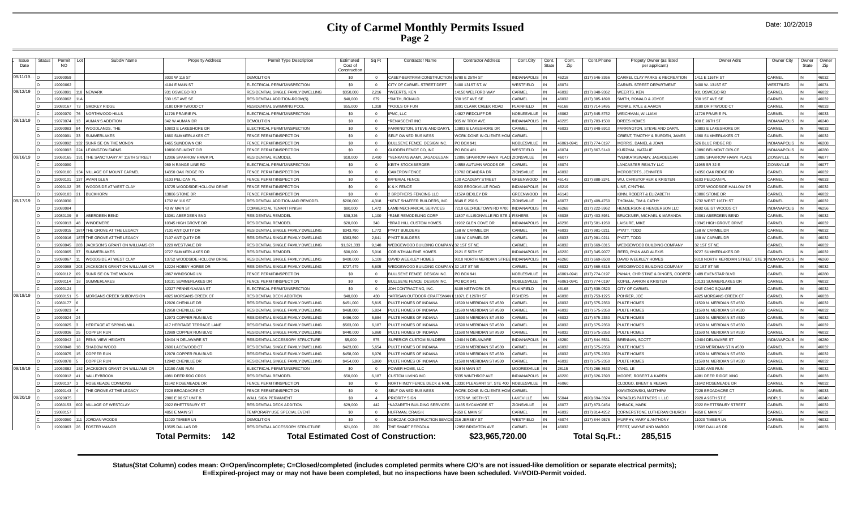### **City of Carmel Monthly Permits Issued Page 2**

|  | Date: 10/2/2019 |
|--|-----------------|
|--|-----------------|

| Issue<br>Date | <b>Status</b> | Permit<br><b>NO</b> | Subdiv Name                          | <b>Property Address</b>          | Permit Type Description                   | Estimated<br>Cost of<br>Constructio | Sq Ft    | <b>Contractor Name</b>                       | <b>Contractor Address</b>              | Cont.City<br>Cont<br>State | Cont.<br>Zip | Cont.Phone    | Propety Owner (as listed<br>per applicant) | Owner Adrs                        | Owner City          | <b>Dwner</b><br>State | Owner<br>Zip |
|---------------|---------------|---------------------|--------------------------------------|----------------------------------|-------------------------------------------|-------------------------------------|----------|----------------------------------------------|----------------------------------------|----------------------------|--------------|---------------|--------------------------------------------|-----------------------------------|---------------------|-----------------------|--------------|
| 09/11/19.     |               | 19090059            |                                      | 3030 W 116 ST                    | DEMOL ITION                               | \$0                                 |          | ASEY-BERTRAM CONSTRUCTION                    | 5780 E 25TH ST                         | <b>NDIANAPOLIS</b>         | 46218        | 317) 546-3366 | CARMEL CLAY PARKS & RECREATION             | 1411 E 116TH ST                   | CARMEL              |                       | 46032        |
|               |               | 19090062            |                                      | 4104 E MAIN ST                   | LECTRICAL PERMIT/INSPECTION               | \$0                                 | $\Omega$ | <b>ITY OF CARMEL STREET DEPT</b>             | 400 131ST ST. W                        | VESTFIELD                  | 46074        |               | CARMEL STREET DEPARTMENT                   | 3400 W. 131ST ST                  | WESTFILED           |                       | 46074        |
| 09/12/19      |               | 19060091            | <b>NEWARK</b>                        | 931 OSWEGO RD                    | ESIDENTIAL SINGLE FAMILY DWELLING         | \$350,000                           | 2.216    | <b>WEERTS, KEN</b>                           | <b>4150 WELFORD WAY</b>                | ARMEL                      | 16032        | 17) 848-9362  | <b>NEERTS, KEN</b>                         | 331 OSWEGO RD                     | CARMEL              |                       | 46032        |
|               |               | CA008001            |                                      | 530 1ST AVE SE                   | RESIDENTIAL ADDITION-ROOM(S               | \$40,000                            | 679      | SMITH, RONALD                                | 530 1ST AVE SE                         | ARMFI                      | 46032        | 17) 385-1898  | SMITH, RONALD & JOYCE                      | 530 1ST AVE SE                    | <b>ARMEL</b>        |                       | 16032        |
|               |               | 9080167             | <b>SMOKEY RIDGE</b>                  | 3180 DRIFTWOOD CT                | RESIDENTIAL SWIMMING POOL                 | \$55,000                            | 1,318    | POOLS OF FUN                                 | 891 CLARK CREEK ROAD                   | LAINFIELD                  | 46168        | 17) 714-3495  | <b>MONKE, KYLE &amp; AARON</b>             | 3180 DRIFTWOOD CT                 | CARMEL              |                       | 46033        |
|               |               | 19090070            | NORTHWOOD HILLS                      | 11726 PRAIRIE PL                 | ELECTRICAL PERMIT/INSPECTION              | \$0                                 | $\Omega$ | MC, LLC                                      | 4827 REDCLIFF DR                       | <b>VOBLESVILLE</b>         | 46062        | 317) 645-8752 | <b><i>NEICHMAN, WILLIAM</i></b>            | 11726 PRAIRIE PL                  | CARMEL              |                       | 46033        |
| 09/13/19      |               | 9070074             | <b>JMAN'S ADDITION</b>               | 842 W AUMAN DR                   | <b>DEMOLITION</b>                         | \$0                                 | $\Omega$ | RENASCENT INC                                | 935 W TROY AVE                         | NDIANAPOLIS                | 46225        | 17) 783-1500  | DREES HOMES                                | 900 E 96TH ST                     | NDIANAPOLIS         |                       | 46240        |
|               |               | 19090083            | <b>/OODLANDS, THE</b>                | 0803 E LAKESHORE DR              | LECTRICAL PERMIT/INSPECTION               | \$0                                 |          | ARRINGTON, STEVE AND DARYL                   | 0803 E LAKESHORE DR                    | ARMEL                      | 16033        | 17) 848-5910  | ARRINGTON, STEVE AND DARYL                 | 10803 E LAKESHORE DR              | CARMEL              |                       | 46033        |
|               |               | 19090091            | <b>JMMERLAKES</b>                    | 1660 SUMMERLAKES CT              | <b>ENCE PERMIT/INSPECTION</b>             | \$0                                 |          | <b>ELF OWNED BUSINESS</b>                    | <b>VORK DONE IN CLIENTS HOM CARMEL</b> |                            |              |               | ORIENT. TIMOTHY & BURDEN, JAMES            | 1660 SUMMERLAKES CT               | CARMEL              |                       | 46032        |
|               |               | 19090092            | SUNRISE ON THE MONON                 | 465 SUNDOWN CIR                  | <b>ENCE PERMIT/INSPECTION</b>             | \$0                                 | $\Omega$ | ULLSEYE FENCE DESIGN INC.                    | O BOX 941                              | <b>VOBLESVILLE</b>         | 46061-094    | 317) 774-0197 | <b>MORRIS, DANIEL &amp; JOAN</b>           | 526 BLUE RIDGE RD                 | <b>NDIANAPOLIS</b>  |                       | 46208        |
|               |               | 9090093             | <b>FXINGTON FARMS</b>                | 10890 BELMONT CIR                | <b>ENCE PERMIT/INSPECTION</b>             | \$0                                 |          | LIDDEN FENCE CO, INC                         | O BOX 481                              | VESTFIELD                  | 16074        | 317) 867-5140 | URZHAL, NATALIE                            | 10890 BELMONT CIRLCE              | NDIANAPOLIS         |                       | 16280        |
| 09/16/19      |               | 19060165            | HE SANCTUARY AT 116TH STREET         | 12006 SPARROW HAWK PI            | <b>RESIDENTIAL REMODEL</b>                | \$10,000                            | 2.490    | <b>/FNKATASWAMY.JAGADFFSAN</b>               | 2006 SPARROW HAWK PLACE                | <b>ZIONSVILLE</b>          | 46077        |               | *VENKATASWAMY. JAGADEESAN                  | 12006 SPARROW HAWK PLACE          | <b>ZIONSVILLE</b>   |                       | 46077        |
|               |               | 9090090             |                                      | 969 N RANGE LINE RD              | LECTRICAL PERMIT/INSPECTION               | \$0                                 |          | <b>EITH STOCKBERGER</b>                      | 4558 AUTUMN WOODS DR                   | ARMEL                      | 46074        |               | ANCASTER REALTY LLC                        | 1985 SR 32 E                      | <b>ZIONSVILLE</b>   |                       | 46077        |
|               |               | 19090100            | VILLAGE OF MOUNT CARMEL              | 14350 OAK RIDGE RD               | <b>ENCE PERMIT/INSPECTION</b>             | \$0                                 | $\Omega$ | <b>AMERON FENCE</b>                          | 0702 DEANDRA DR                        | <b>IONSVILLE</b>           | \$6032       |               | MCROBERTS JENNIFER                         | 14350 OAK RIDGE RD                | CARMEL              |                       | 46032        |
|               |               | 9090101             | <b>WIAN GLEN</b>                     | 103 PELICAN PL                   | <b>ENCE PERMIT/INSPECTION</b>             | \$0                                 | $\Omega$ | <b>MPERIAL FENCE</b>                         | 00 ACADEMY STREET                      | REENWOOD                   | 46143        | 17) 888-3241  | <b>NU, CHRISTOPHER &amp; KRISTEN</b>       | 103 PELICAN PL                    | CARMEL              |                       | 46033        |
|               |               | 19090102            | <b>/OODSIDE AT WEST CLAY</b>         | 13725 WOODSIDE HOLLOW DRIVE      | <b>ENCE PERMIT/INSPECTION</b>             | \$0                                 | $\Omega$ | & K FENCE                                    | 920 BROOKVILLE ROAD                    | <b>VDIANAPOLIS</b>         | 46219        |               | INE, CYNTHIA                               | 13725 WOODSIDE HALLOW DR          | CARMEI              |                       | 46032        |
|               |               | 19090103            | <b>JUCKHORN</b>                      | 13806 STONE DR                   | FENCE PERMIT/INSPECTION                   | \$0                                 | $\Omega$ | <b>BROTHERS FENCING LLC</b>                  | <b>152A BEXLEY DR</b>                  | <b>GREENWOOD</b>           | 46143        |               | KINN, ROBERT & ELIZABETH                   | 3806 STONE DR                     | CARMEL              |                       | 46032        |
| 09/17/19      |               | 19080030            |                                      | 1732 W 116 ST                    | RESIDENTIAL ADDITION AND REMODEL          | \$200,000                           | 4.318    | KENT SHAFFER BUILDERS, INC                   | 8649 E 250 S                           | <b>IONSVILLE</b>           | 46077        | 317) 409-4750 | <b>THOMAN, TIM &amp; CATHY</b>             | 1732 WEST 116TH ST                | CARMEL              |                       | 46032        |
|               |               | 19080084            |                                      | 43 W MAIN ST                     | COMMERCIAL TENANT FINISH                  | \$80,000                            | 1.472    | AMB MECHANICAL SERVICES                      | 210 GEORGETOWN RD #700                 | <b>INDIANAPOLIS</b>        | 16268        | 17) 222-5962  | <b>IENDERSON &amp; HENDERSON LLC</b>       | 692 GEIST WOODS CT                | <b>NDIANAPOLIS</b>  |                       | 46256        |
|               |               | 9080109             | <b>BERDEEN BEND</b>                  | 3061 ABERDEEN BND                | ESIDENTIAL REMODEI                        | \$38,326                            | 1,100    | <b>USE REMODELING CORP</b>                   | 1807 ALLISONVILLE RD STE               | <b>ISHERS</b>              | 16038        | 17) 403-8931  | RUCKNER, MICHAEL & MARANDA                 | 13061 ABERDEEN BEND               | CARMEL              |                       | 16032        |
|               |               | 9090013             | <b>INDEMERE</b>                      | 0345 HIGH GROVE DR               | RESIDENTIAL REMODEL                       | \$20,000                            | 340      | <b>SRAD HILL CUSTOM HOMES</b>                | 982 GLEN COVE DR                       | <b>JOIANAPOLIS</b>         | 8236         | 17) 581-1260  | AISURE MIKE                                | 0345 HIGH GROVE DRIVE             | CARMEI              |                       | \$6032       |
|               |               | 19090015            | THE GROVE AT THE LEGACY              | 101 ANTIQUITY DR                 | RESIDENTIAL SINGLE FAMILY DWELLING        | \$343,790                           | 1,772    | YATT BUILDERS                                | 68 W CARMEL DR                         | ARMEL                      | 16033        | 17) 981-0211  | YATT, TODD                                 | 168 W CARMEL DR                   | CARME               |                       | 46032        |
|               |               | 19090016            | THE GROVE AT THE LEGACY              | 107 ANTIQUITY DR                 | <b>RESIDENTIAL SINGLE FAMILY DWELLING</b> | \$363,590                           | 2.641    | YATT BUILDERS                                | 68 W CARMEL DR                         | ARMFI                      | 46033        | 17) 981-0211  | YATT, TODD                                 | 168 W CARMEL DF                   | CARMEL              |                       | 46032        |
|               |               | 19090045            | ACKSON'S GRANT ON WILLIAMS CR        | 229 WESTVALE DR                  | ESIDENTIAL SINGLE FAMILY DWELLING         | \$1,321,333                         | 9.140    | EDGEWOOD BUILDING COMPAN                     | 32 1 ST ST NE                          | ARMEL                      | 46032        | 17) 669-6315  | <b>/EDGEWOOD BUILDING COMPANY</b>          | 32 1ST ST NE                      | CARMEL              |                       | 46032        |
|               |               | 23009091            | <b>IMMERIAKES</b>                    | 9727 SUMMERLAKES DR              | <b>ESIDENTIAL REMODEL</b>                 | \$90,000                            | 5.016    | <b>CORINTHIAN FINE HOMES</b>                 | 121 E 56TH ST                          | <b>NDIANAPOLIS</b>         | 16220        | 17) 345-9077  | REED. RYAN AND ALEXIS                      | 9727 SUMMERLAKES DR               | CARMEL              |                       | 46032        |
|               |               | 9090067             | <b>VOODSIDE AT WEST CLAY</b>         | 13752 WOODSIDE HOLLOW DRIVE      | ESIDENTIAL SINGLE FAMILY DWELLING         | \$400,000                           | 5.108    | AVID WEEKLEY HOMES                           | 310 NORTH MERIDIAN STREE               | <b>INDIANAPOLIS</b>        | 46260        | 17) 669-8500  | DAVID WEEKLEY HOMES                        | 9310 NORTH MERIDIAN STREET. STE 1 | <b>INDIANAPOLIS</b> |                       | 16260        |
|               |               | 9090068             | <b>ACKSON'S GRANT ON WILLIAMS CR</b> | <b>2224 HOBBY HORSE DR</b>       | RESIDENTIAL SINGLE FAMILY DWELLING        | \$727.479                           | 5.605    | <b>VEDGEWOOD BUILDING COMPAN</b>             | 21ST ST NE                             | ARMEL                      | 16032        | 17) 669-6315  | VEDGEWOOD BUILDING COMPANY                 | 32 1ST ST NE                      | CARMEL              |                       | 16032        |
|               |               | 19090112            | UNRISE ON THE MONON                  | 9867 WINDSONG LN                 | FENCE PERMIT/INSPECTION                   | \$0                                 | $\Omega$ | ULLSEYE FENCE DESIGN INC.                    | D BOX 941                              | <b>VOBLESVILLE</b>         | 46061-09     | 17) 774-0197  | ANAH, CHRISTINE & DINGES, COOPE            | 1489 EVENSTAR BLVD                | CARMEL              |                       | 46280        |
|               |               | 19090114            | <b>JUMMERLAKES</b>                   | 10131 SUMMERLAKES DR             | FENCE PERMIT/INSPECTION                   | \$0                                 | $\Omega$ | <b>BULLSEYE FENCE DESIGN INC.</b>            | O BOX 941                              | <b>NOBLESVILLE</b>         | 16061-094    | 17) 774-0197  | KOPEL, AARON & KRISTEN                     | 10131 SUMMERLAKES DR              | CARMEL              |                       | 46032        |
|               |               | 19090124            |                                      | 12327 PENNSYLVANIA ST            | LECTRICAL PERMIT/INSPECTION               | \$0                                 | $\Omega$ | IDH CONTRACTING, INC.                        | 109 NETWORK DR.                        | LAINFIELD                  | 16168        | 317) 839-0520 | <b>ITY OF CARMEL</b>                       | ONE CIVIC SQUARE                  | CARMEL              |                       | 46032        |
| 09/18/19      |               | 9080151             | ORGANS CREEK SUBDIVISION             | 4925 MORGANS CREEK CT            | <b>ESIDENTIAL DECK ADDITION</b>           | \$40,000                            | 430      | ARTISAN OUTDOOR CRAFTSMAN                    | 1071 E 126TH ST                        | <b>ISHERS</b>              | 16038        | 17) 753-1225  | OHRER, JOE                                 | <b>1925 MORGANS CREEK CT</b>      | CARMEL              |                       | 16033        |
|               |               | 19080177            |                                      | <b>2926 CHENILLE DR</b>          | RESIDENTIAL SINGLE FAMILY DWELLING        | \$451,000                           | 5.815    | ULTE HOMES OF INDIANA                        | 590 N MERIDIAN ST #530                 | <b>ARMEL</b>               | 16032        | 17) 575-2350  | ULTE HOMES                                 | 11590 N. MERIDIAN ST #530         | CARMEL              |                       | 16032        |
|               |               | 19090023            |                                      | 12958 CHENILLE DR                | RESIDENTIAL SINGLE FAMILY DWELLING        | \$468,000                           | 5.824    | ULTE HOMES OF INDIANA                        | 1590 N MERIDIAN ST #530                | ARMEL                      | 46032        | 317) 575-2350 | PULTE HOMES                                | 11590 N. MERIDIAN ST #530         | CARMEI              |                       | 46032        |
|               |               | 19090024            |                                      | 12973 COPPER RUN BLVD            | RESIDENTIAL SINGLE FAMILY DWELLING        | \$486,000                           | 5.684    | ULTE HOMES OF INDIANA                        | 1590 N MERIDIAN ST #530                | ARMEL                      | 46032        | 317) 575-2350 | ULTE HOMES                                 | 11590 N. MERIDIAN ST #530         | CARMEL              |                       | 46032        |
|               |               | 19090025            | HERITAGE AT SPRING MILL              | <b>417 HERITAGE TERRACE LANE</b> | RESIDENTIAL SINGLE FAMILY DWELLING        | \$563,000                           | 6.187    | ULTE HOMES OF INDIANA                        | 1590 N MERIDIAN ST #530                | ARMFI                      | 16032        | 317) 575-2350 | ULTE HOMES                                 | 1590 N. MERIDIAN ST #530          | CARMEL              |                       | 46032        |
|               |               | 9090036             | COPPER RUN                           | <b>2989 COPPER RUN BLVD</b>      | ESIDENTIAL SINGLE FAMILY DWELLING         | \$440,000                           | 5.860    | ULTE HOMES OF INDIANA                        | 1590 N MERIDIAN ST #530                | ARMEL                      | 16032        | 17) 575-2350  | <b>ULTE HOMES</b>                          | 1590 N. MERIDIAN ST #530          | <b>ARMEL</b>        |                       | 16032        |
|               |               | 9090042             | <b>ENN VIEW HEIGHTS</b>              | 10404 N DELAWARE ST              | RESIDENTIAL ACCESSORY STRUCTURE           | \$5,000                             | 575      | UPERIOR CUSTOM BUILDERS                      | 0404 N DELAWARE                        | <b>IDIANAPOLIS</b>         | 16280        | 17) 844-5531  | <b>BRENNAN, SCOT</b>                       | 10404 DELAWARE ST                 | NDIANAPOLIS         |                       | 16280        |
|               |               | 19090048            | <b>HADOW WOOD</b>                    | 2606 LACEWOOD CT                 | <b>RESIDENTIAL SINGLE FAMILY DWELLING</b> | \$423,000                           | 5.654    | UI TE HOMES OF INDIANA                       | 1590 N MERIDIAN ST #530                | ARMEL                      | 46032        | 317) 575-2350 | PULTE HOMES                                | 11590 MERIDIAN ST N #530          | CARMEL              |                       | 46032        |
|               |               | 19090075            | <b>OPPER RUN</b>                     | 12978 COPPER RUN BLVD            | RESIDENTIAL SINGLE FAMILY DWELLING        | \$458,000                           | 6.076    | ULTE HOMES OF INDIANA                        | 1590 N MERIDIAN ST #530                | ARMEL                      | 46032        | 17) 575-2350  | <b>ULTE HOMES</b>                          | 11590 N. MERIDIAN ST #530         | CARMEL              |                       | 46032        |
|               |               | 9090078             | OPPER RUN                            | <b>12942 CHENILLE DR</b>         | RESIDENTIAL SINGLE FAMILY DWELLING        | \$454,000                           | 5.860    | ULTE HOMES OF INDIANA                        | 1590 N MERIDIAN ST #530                | ARMEL                      | 16032        | 17) 575-2350  | ULTE HOMES                                 | 1590 N. MERIDIAN ST #530          | CARMEL              |                       | 46032        |
| 09/19/19      |               | <b>SR00809</b>      | ACKSON'S GRANT ON WILLIAMS CR        | 2150 AMS RUN                     | <b>LECTRICAL PERMIT/INSPECTION</b>        | \$0                                 |          | OWER HOME, LLC                               | 19 N MAIN ST                           | <b>MOORESVILLE</b>         | 28115        | 04) 266-3633  | YANG, LE                                   | <b>12150 AMS RUN</b>              | <b>ARMEL</b>        |                       | 16032        |
|               |               | 9090012             | ALLEYBROOK                           | 1981 DEER RDG CROS               | RESIDENTIAL REMODEL                       | \$50,000                            | 6.187    | USTOM LIVING INC                             | 335 WINTHROP AVE                       | <b>IDIANAPOLIS</b>         | 16220        | 17) 626-7393  | <b>JOORE, ROBERT &amp; KAREN</b>           | 1981 DEER RIDGE XING              | CARMEI              |                       | 46033        |
|               |               | 19090137            | <b>OSEMEADE COMMONS</b>              | 11642 ROSEMEADE DR               | <b>ENCE PERMIT/INSPECTION</b>             | \$0                                 |          | <b>IORTH INDY FENCE DECK &amp; RAIL</b>      | 0330 PLEASANT ST, STE 400              | NOBLESVILLE                | 08061        |               | CLODGO, BRENT & MEGAN                      | 11642 ROSEMEADE DR                | CARMEI              |                       | 46032        |
|               |               | 19090143            | HE GROVE AT THE LEGACY               | 7228 BROADACRE CT                | <b>ENCE PERMIT/INSPECTION</b>             | \$0                                 | $\Omega$ | <b>ELF OWNED BUSINESS</b>                    | <b>VORK DONE IN CLIENTS HOM CARMEL</b> |                            |              |               | <b>KWIATKOWSKI, MATTHEW</b>                | 7228 BROADACRE CT                 | CARMEL              |                       | 46033        |
| 09/20/19      |               | 2020075             |                                      | 2900 E 96 ST UNIT B              | <b>VALL SIGN PERMANENT</b>                | \$0                                 |          | RIORITY SIGN                                 | 0579 W. 165TH ST                       | AKEVILLE                   | 55044        | (20) 694-3324 | ARAGUS PARTNERS I. LLC                     | 2920 A 96TH ST E                  | NDPI S              |                       | 46240        |
|               |               | 9080153             | <b>/ILLAGE OF WESTCLAY</b>           | 2022 RHETTSBURY ST               | ESIDENTIAL DECK ADDITION                  | \$29,000                            | 442      | NAZARETH BUILDING SERVICES                   | 1465 SYCAMORE ST                       | <b>IONSVILLE</b>           | 16077        | 317) 873-0454 | <b>HRACK, MARK</b>                         | 2022 RHETTSBURY STREET            | ARMF:               |                       | 46032        |
|               |               | 19080157            |                                      | 4850 F MAIN ST                   | <b><i>FEMPORARY USE SPECIAL EVENT</i></b> | \$0                                 | $\Omega$ | <b>IUFFMAN, CRAIG K</b>                      | 850 F MAIN ST                          | <b>ARMEL</b>               | 46032        | 17) 814-4252  | CORNERSTONE LUTHERAN CHURCH                | 4850 F MAIN ST                    | <b>ARMEL</b>        |                       | 46033        |
|               |               | 9090060             | JORDAN WOODS                         | 11020 TIMBER LI                  | DEMOLITION                                | \$0                                 |          | OBCZAK CONSTRUCTION SEVICI                   | 16 JERSEY ST                           | VESTFIELD                  | 16074        | 17) 844-9576  | <b>JURPHY, MARY &amp; ANTHONY</b>          | 1020 TIMBER LN                    | CARMEI              |                       | 16032        |
|               |               | 8300909             | 26 FOSTER MANOR                      | 13585 DALLAS DR                  | RESIDENTIAL ACCESSORY STRUCTURE           | \$21,000                            | 220      | HE SMART PERGOLA                             | 12958 RRIGHTON AVE                     | CARMEL                     | 46032        |               | FEEST. WAYNE AND MARGO                     | 13585 DALLAS DR                   | CARMEL              |                       | 46033        |
|               |               |                     |                                      | <b>Total Permits: 142</b>        |                                           |                                     |          | <b>Total Estimated Cost of Construction:</b> | \$23,965,720.00                        |                            |              | Total Sq.Ft.: | 285.515                                    |                                   |                     |                       |              |

**Status(Stat Column) codes mean: O=Open/incomplete; C=Closed/completed (includes completed permits where C/O's are not issued-like demolition or separate electrical permits); E=Expired-project may or may not have been completed, but no inspections have been scheduled. V=VOID-Permit voided.**